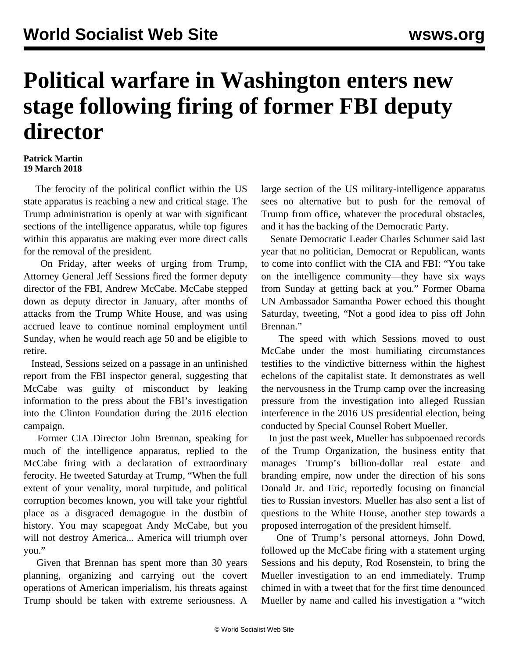## **Political warfare in Washington enters new stage following firing of former FBI deputy director**

## **Patrick Martin 19 March 2018**

 The ferocity of the political conflict within the US state apparatus is reaching a new and critical stage. The Trump administration is openly at war with significant sections of the intelligence apparatus, while top figures within this apparatus are making ever more direct calls for the removal of the president.

 On Friday, after weeks of urging from Trump, Attorney General Jeff Sessions fired the former deputy director of the FBI, Andrew McCabe. McCabe stepped down as deputy director in January, after months of attacks from the Trump White House, and was using accrued leave to continue nominal employment until Sunday, when he would reach age 50 and be eligible to retire.

 Instead, Sessions seized on a passage in an unfinished report from the FBI inspector general, suggesting that McCabe was guilty of misconduct by leaking information to the press about the FBI's investigation into the Clinton Foundation during the 2016 election campaign.

 Former CIA Director John Brennan, speaking for much of the intelligence apparatus, replied to the McCabe firing with a declaration of extraordinary ferocity. He tweeted Saturday at Trump, "When the full extent of your venality, moral turpitude, and political corruption becomes known, you will take your rightful place as a disgraced demagogue in the dustbin of history. You may scapegoat Andy McCabe, but you will not destroy America... America will triumph over you."

 Given that Brennan has spent more than 30 years planning, organizing and carrying out the covert operations of American imperialism, his threats against Trump should be taken with extreme seriousness. A

large section of the US military-intelligence apparatus sees no alternative but to push for the removal of Trump from office, whatever the procedural obstacles, and it has the backing of the Democratic Party.

 Senate Democratic Leader Charles Schumer said last year that no politician, Democrat or Republican, wants to come into conflict with the CIA and FBI: "You take on the intelligence community—they have six ways from Sunday at getting back at you." Former Obama UN Ambassador Samantha Power echoed this thought Saturday, tweeting, "Not a good idea to piss off John Brennan."

 The speed with which Sessions moved to oust McCabe under the most humiliating circumstances testifies to the vindictive bitterness within the highest echelons of the capitalist state. It demonstrates as well the nervousness in the Trump camp over the increasing pressure from the investigation into alleged Russian interference in the 2016 US presidential election, being conducted by Special Counsel Robert Mueller.

 In just the past week, Mueller has subpoenaed records of the Trump Organization, the business entity that manages Trump's billion-dollar real estate and branding empire, now under the direction of his sons Donald Jr. and Eric, reportedly focusing on financial ties to Russian investors. Mueller has also sent a list of questions to the White House, another step towards a proposed interrogation of the president himself.

 One of Trump's personal attorneys, John Dowd, followed up the McCabe firing with a statement urging Sessions and his deputy, Rod Rosenstein, to bring the Mueller investigation to an end immediately. Trump chimed in with a tweet that for the first time denounced Mueller by name and called his investigation a "witch